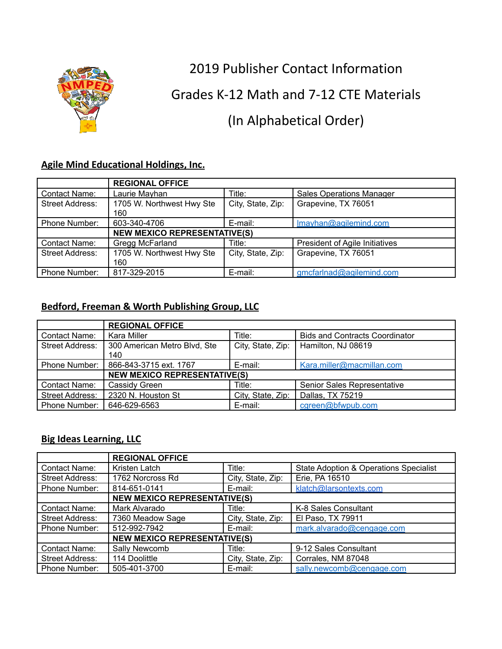

2019 Publisher Contact Information

Grades K-12 Math and 7-12 CTE Materials

# (In Alphabetical Order)

### **Agile Mind Educational Holdings, Inc.**

|                        | <b>REGIONAL OFFICE</b>           |                                     |                                       |  |
|------------------------|----------------------------------|-------------------------------------|---------------------------------------|--|
| Contact Name:          | Laurie Mayhan                    | Title:                              | <b>Sales Operations Manager</b>       |  |
| <b>Street Address:</b> | 1705 W. Northwest Hwy Ste<br>160 | City, State, Zip:                   | Grapevine, TX 76051                   |  |
| Phone Number:          | 603-340-4706                     | E-mail:                             | Imayhan@agilemind.com                 |  |
|                        |                                  | <b>NEW MEXICO REPRESENTATIVE(S)</b> |                                       |  |
| Contact Name:          | Gregg McFarland                  | Title:                              | <b>President of Agile Initiatives</b> |  |
| Street Address:        | 1705 W. Northwest Hwy Ste<br>160 | City, State, Zip:                   | Grapevine, TX 76051                   |  |
| Phone Number:          | 817-329-2015                     | E-mail:                             | gmcfarlnad@agilemind.com              |  |

### **Bedford, Freeman & Worth Publishing Group, LLC**

|                        | <b>REGIONAL OFFICE</b>              |                   |                                       |  |
|------------------------|-------------------------------------|-------------------|---------------------------------------|--|
| Contact Name:          | Kara Miller                         | Title:            | <b>Bids and Contracts Coordinator</b> |  |
| <b>Street Address:</b> | 300 American Metro Blvd, Ste<br>140 | City, State, Zip: | Hamilton, NJ 08619                    |  |
| Phone Number:          | 866-843-3715 ext. 1767              | E-mail:           | Kara.miller@macmillan.com             |  |
|                        | <b>NEW MEXICO REPRESENTATIVE(S)</b> |                   |                                       |  |
| <b>Contact Name:</b>   | Cassidy Green                       | Title:            | Senior Sales Representative           |  |
| Street Address:        | 2320 N. Houston St                  | City, State, Zip: | Dallas, TX 75219                      |  |
| <b>Phone Number:</b>   | 646-629-6563                        | E-mail:           | cgreen@bfwpub.com                     |  |

### **Big Ideas Learning, LLC**

|                        | <b>REGIONAL OFFICE</b>              |                   |                                        |
|------------------------|-------------------------------------|-------------------|----------------------------------------|
| Contact Name:          | Kristen Latch                       | Title:            | State Adoption & Operations Specialist |
| <b>Street Address:</b> | 1762 Norcross Rd                    | City, State, Zip: | Erie, PA 16510                         |
| Phone Number:          | 814-651-0141                        | E-mail:           | klatch@larsontexts.com                 |
|                        | <b>NEW MEXICO REPRESENTATIVE(S)</b> |                   |                                        |
| Contact Name:          | Mark Alvarado                       | Title:            | K-8 Sales Consultant                   |
| <b>Street Address:</b> | 7360 Meadow Sage                    | City, State, Zip: | El Paso, TX 79911                      |
| Phone Number:          | 512-992-7942                        | E-mail:           | mark.alvarado@cengage.com              |
|                        | <b>NEW MEXICO REPRESENTATIVE(S)</b> |                   |                                        |
| <b>Contact Name:</b>   | Sally Newcomb                       | Title:            | 9-12 Sales Consultant                  |
| <b>Street Address:</b> | 114 Doolittle                       | City, State, Zip: | Corrales, NM 87048                     |
| Phone Number:          | 505-401-3700                        | E-mail:           | sally.newcomb@cengage.com              |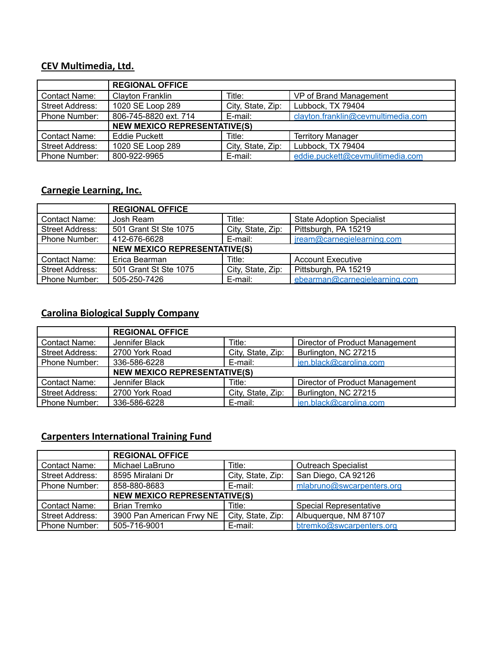### **CEV Multimedia, Ltd.**

|                        | <b>REGIONAL OFFICE</b>              |                   |                                    |
|------------------------|-------------------------------------|-------------------|------------------------------------|
| Contact Name:          | Clayton Franklin                    | Title:            | VP of Brand Management             |
| <b>Street Address:</b> | 1020 SE Loop 289                    | City, State, Zip: | Lubbock, TX 79404                  |
| Phone Number:          | 806-745-8820 ext. 714               | E-mail:           | clayton.franklin@cevmultimedia.com |
|                        | <b>NEW MEXICO REPRESENTATIVE(S)</b> |                   |                                    |
| <b>Contact Name:</b>   | Eddie Puckett                       | Title:            | <b>Territory Manager</b>           |
| <b>Street Address:</b> | 1020 SE Loop 289                    | City, State, Zip: | Lubbock, TX 79404                  |
| Phone Number:          | 800-922-9965                        | E-mail:           | eddie.puckett@cevmulitimedia.com   |

#### **Carnegie Learning, Inc.**

|                        | <b>REGIONAL OFFICE</b>              |                   |                                  |
|------------------------|-------------------------------------|-------------------|----------------------------------|
| Contact Name:          | Josh Ream                           | Title:            | <b>State Adoption Specialist</b> |
| <b>Street Address:</b> | 501 Grant St Ste 1075               | City, State, Zip: | Pittsburgh, PA 15219             |
| Phone Number:          | 412-676-6628                        | E-mail:           | jream@carnegielearning.com       |
|                        | <b>NEW MEXICO REPRESENTATIVE(S)</b> |                   |                                  |
| Contact Name:          | Erica Bearman                       | Title:            | <b>Account Executive</b>         |
| Street Address:        | 501 Grant St Ste 1075               | City, State, Zip: | Pittsburgh, PA 15219             |
| <b>Phone Number:</b>   | 505-250-7426                        | E-mail:           | ebearman@carneqielearning.com    |

# **Carolina Biological Supply Company**

|                        | <b>REGIONAL OFFICE</b>              |                   |                                |
|------------------------|-------------------------------------|-------------------|--------------------------------|
| Contact Name:          | Jennifer Black                      | Title:            | Director of Product Management |
| <b>Street Address:</b> | 2700 York Road                      | City, State, Zip: | Burlington, NC 27215           |
| Phone Number:          | 336-586-6228                        | E-mail:           | jen.black@carolina.com         |
|                        | <b>NEW MEXICO REPRESENTATIVE(S)</b> |                   |                                |
| Contact Name:          | Jennifer Black                      | Title:            | Director of Product Management |
| <b>Street Address:</b> | 2700 York Road                      | City, State, Zip: | Burlington, NC 27215           |
| Phone Number:          | 336-586-6228                        | E-mail:           | ien.black@carolina.com         |

### **Carpenters International Training Fund**

|                        | <b>REGIONAL OFFICE</b>              |                   |                               |
|------------------------|-------------------------------------|-------------------|-------------------------------|
| Contact Name:          | Michael LaBruno                     | Title:            | <b>Outreach Specialist</b>    |
| <b>Street Address:</b> | 8595 Miralani Dr                    | City, State, Zip: | San Diego, CA 92126           |
| Phone Number:          | 858-880-8683                        | E-mail:           | mlabruno@swcarpenters.org     |
|                        | <b>NEW MEXICO REPRESENTATIVE(S)</b> |                   |                               |
| Contact Name:          | Brian Tremko                        | Title:            | <b>Special Representative</b> |
| <b>Street Address:</b> | 3900 Pan American Frwy NE           | City, State, Zip: | Albuquerque, NM 87107         |
| Phone Number:          | 505-716-9001                        | E-mail:           | btremko@swcarpenters.org      |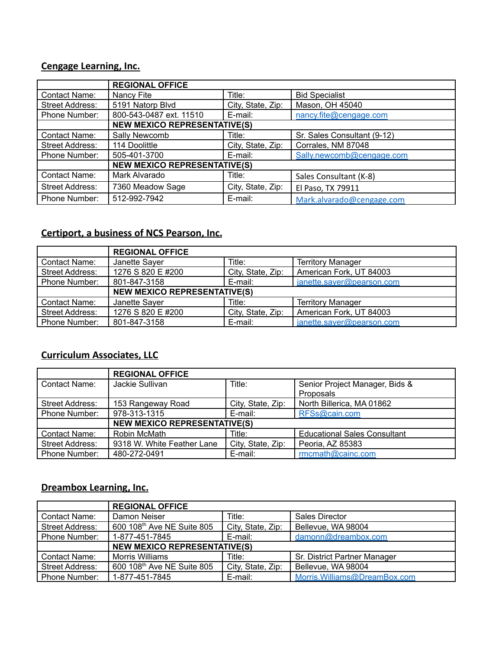### **Cengage Learning, Inc.**

|                        | <b>REGIONAL OFFICE</b>              |                   |                             |
|------------------------|-------------------------------------|-------------------|-----------------------------|
| Contact Name:          | Nancy Fite                          | Title:            | <b>Bid Specialist</b>       |
| Street Address:        | 5191 Natorp Blvd                    | City, State, Zip: | Mason, OH 45040             |
| Phone Number:          | 800-543-0487 ext. 11510             | E-mail:           | nancy.fite@cengage.com      |
|                        | <b>NEW MEXICO REPRESENTATIVE(S)</b> |                   |                             |
| Contact Name:          | Sally Newcomb                       | Title:            | Sr. Sales Consultant (9-12) |
| Street Address:        | 114 Doolittle                       | City, State, Zip: | Corrales, NM 87048          |
| Phone Number:          | 505-401-3700                        | E-mail:           | Sally.newcomb@cengage.com   |
|                        | <b>NEW MEXICO REPRESENTATIVE(S)</b> |                   |                             |
| Contact Name:          | Mark Alvarado                       | Title:            | Sales Consultant (K-8)      |
| <b>Street Address:</b> | 7360 Meadow Sage                    | City, State, Zip: | El Paso, TX 79911           |
| Phone Number:          | 512-992-7942                        | E-mail:           | Mark.alvarado@cengage.com   |

### **Certiport, a business of NCS Pearson, Inc.**

|                        | <b>REGIONAL OFFICE</b>              |                   |                           |
|------------------------|-------------------------------------|-------------------|---------------------------|
| Contact Name:          | Janette Sayer                       | Title:            | <b>Territory Manager</b>  |
| <b>Street Address:</b> | 1276 S 820 E #200                   | City, State, Zip: | American Fork, UT 84003   |
| Phone Number:          | 801-847-3158                        | E-mail:           | janette.sayer@pearson.com |
|                        | <b>NEW MEXICO REPRESENTATIVE(S)</b> |                   |                           |
| Contact Name:          | Janette Sayer                       | Title:            | <b>Territory Manager</b>  |
| <b>Street Address:</b> | 1276 S 820 E #200                   | City, State, Zip: | American Fork, UT 84003   |
| Phone Number:          | 801-847-3158                        | E-mail:           | janette.saver@pearson.com |

### **Curriculum Associates, LLC**

|                        | <b>REGIONAL OFFICE</b>              |                   |                                     |  |
|------------------------|-------------------------------------|-------------------|-------------------------------------|--|
| Contact Name:          | Jackie Sullivan                     | Title:            | Senior Project Manager, Bids &      |  |
|                        |                                     |                   | Proposals                           |  |
| <b>Street Address:</b> | 153 Rangeway Road                   | City, State, Zip: | North Billerica, MA 01862           |  |
| Phone Number:          | 978-313-1315                        | E-mail:           | RFSs@cain.com                       |  |
|                        | <b>NEW MEXICO REPRESENTATIVE(S)</b> |                   |                                     |  |
| Contact Name:          | Robin McMath                        | Title:            | <b>Educational Sales Consultant</b> |  |
| <b>Street Address:</b> | 9318 W. White Feather Lane          | City, State, Zip: | Peoria, AZ 85383                    |  |
| Phone Number:          | 480-272-0491                        | E-mail:           | rmcmath@cainc.com                   |  |

### **Dreambox Learning, Inc.**

|                        | <b>REGIONAL OFFICE</b>                 |                   |                               |
|------------------------|----------------------------------------|-------------------|-------------------------------|
| Contact Name:          | Damon Neiser                           | Title:            | <b>Sales Director</b>         |
| <b>Street Address:</b> | 600 108 <sup>th</sup> Ave NE Suite 805 | City, State, Zip: | Bellevue, WA 98004            |
| <b>Phone Number:</b>   | 1-877-451-7845                         | E-mail:           | damonn@dreambox.com           |
|                        | <b>NEW MEXICO REPRESENTATIVE(S)</b>    |                   |                               |
| Contact Name:          | <b>Morris Williams</b>                 | Title:            | Sr. District Partner Manager  |
| <b>Street Address:</b> | 600 108 <sup>th</sup> Ave NE Suite 805 | City, State, Zip: | Bellevue, WA 98004            |
| Phone Number:          | 1-877-451-7845                         | E-mail:           | Morris. Williams@DreamBox.com |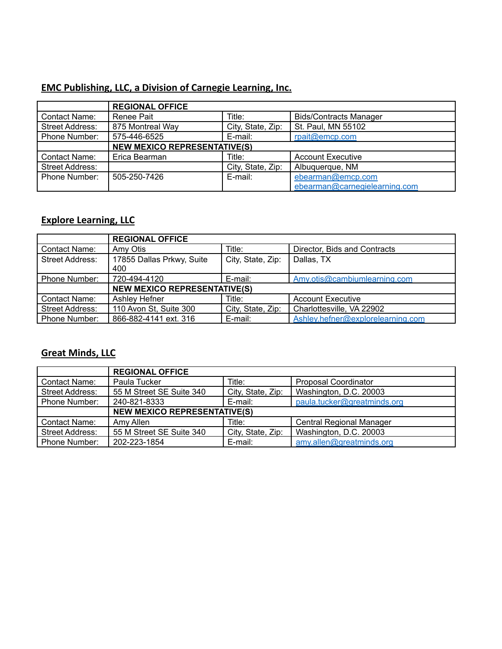### **EMC Publishing, LLC, a Division of Carnegie Learning, Inc.**

|                        | <b>REGIONAL OFFICE</b>              |                   |                               |
|------------------------|-------------------------------------|-------------------|-------------------------------|
| Contact Name:          | Renee Pait                          | Title:            | <b>Bids/Contracts Manager</b> |
| <b>Street Address:</b> | 875 Montreal Way                    | City, State, Zip: | St. Paul, MN 55102            |
| <b>Phone Number:</b>   | 575-446-6525                        | E-mail:           | rpait@emcp.com                |
|                        | <b>NEW MEXICO REPRESENTATIVE(S)</b> |                   |                               |
| <b>Contact Name:</b>   | Erica Bearman                       | Title:            | <b>Account Executive</b>      |
| <b>Street Address:</b> |                                     | City, State, Zip: | Albuquerque, NM               |
| <b>Phone Number:</b>   | 505-250-7426                        | E-mail:           | ebearman@emcp.com             |
|                        |                                     |                   | ebearman@carnegielearning.com |

### **Explore Learning, LLC**

|                        | <b>REGIONAL OFFICE</b>              |                   |                                   |
|------------------------|-------------------------------------|-------------------|-----------------------------------|
| Contact Name:          | Amy Otis                            | Title:            | Director, Bids and Contracts      |
| Street Address:        | 17855 Dallas Prkwy, Suite<br>400    | City, State, Zip: | Dallas, TX                        |
| <b>Phone Number:</b>   | 720-494-4120                        | E-mail:           | Amv.otis@cambiumlearning.com      |
|                        | <b>NEW MEXICO REPRESENTATIVE(S)</b> |                   |                                   |
| Contact Name:          | Ashley Hefner                       | Title:            | <b>Account Executive</b>          |
| <b>Street Address:</b> | 110 Avon St, Suite 300              | City, State, Zip: | Charlottesville, VA 22902         |
| Phone Number:          | 866-882-4141 ext. 316               | E-mail:           | Ashley.hefner@explorelearning.com |

# **Great Minds, LLC**

|                        | <b>REGIONAL OFFICE</b>              |                   |                                 |
|------------------------|-------------------------------------|-------------------|---------------------------------|
| Contact Name:          | Paula Tucker                        | Title:            | Proposal Coordinator            |
| <b>Street Address:</b> | 55 M Street SE Suite 340            | City, State, Zip: | Washington, D.C. 20003          |
| Phone Number:          | 240-821-8333                        | E-mail:           | paula.tucker@greatminds.org     |
|                        | <b>NEW MEXICO REPRESENTATIVE(S)</b> |                   |                                 |
| Contact Name:          | Amy Allen                           | Title:            | <b>Central Regional Manager</b> |
| Street Address:        | 55 M Street SE Suite 340            | City, State, Zip: | Washington, D.C. 20003          |
| Phone Number:          | 202-223-1854                        | E-mail:           | amy.allen@greatminds.org        |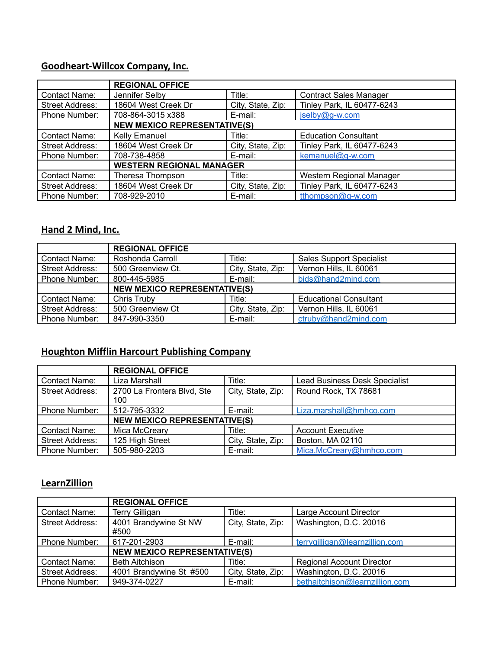# **Goodheart-Willcox Company, Inc.**

|                        | <b>REGIONAL OFFICE</b>              |                   |                               |
|------------------------|-------------------------------------|-------------------|-------------------------------|
| Contact Name:          | Jennifer Selby                      | Title:            | <b>Contract Sales Manager</b> |
| <b>Street Address:</b> | 18604 West Creek Dr                 | City, State, Zip: | Tinley Park, IL 60477-6243    |
| Phone Number:          | 708-864-3015 x388                   | E-mail:           | jselby@g-w.com                |
|                        | <b>NEW MEXICO REPRESENTATIVE(S)</b> |                   |                               |
| Contact Name:          | <b>Kelly Emanuel</b>                | Title:            | <b>Education Consultant</b>   |
| Street Address:        | 18604 West Creek Dr                 | City, State, Zip: | Tinley Park, IL 60477-6243    |
| Phone Number:          | 708-738-4858                        | E-mail:           | kemanuel@q-w.com              |
|                        | <b>WESTERN REGIONAL MANAGER</b>     |                   |                               |
| Contact Name:          | Theresa Thompson                    | Title:            | Western Regional Manager      |
| Street Address:        | 18604 West Creek Dr                 | City, State, Zip: | Tinley Park, IL 60477-6243    |
| Phone Number:          | 708-929-2010                        | E-mail:           | tthompson@q-w.com             |

#### **Hand 2 Mind, Inc.**

|                        | <b>REGIONAL OFFICE</b>              |                   |                                 |
|------------------------|-------------------------------------|-------------------|---------------------------------|
| Contact Name:          | Roshonda Carroll                    | Title:            | <b>Sales Support Specialist</b> |
| <b>Street Address:</b> | 500 Greenview Ct.                   | City, State, Zip: | Vernon Hills, IL 60061          |
| Phone Number:          | 800-445-5985                        | E-mail:           | bids@hand2mind.com              |
|                        | <b>NEW MEXICO REPRESENTATIVE(S)</b> |                   |                                 |
| Contact Name:          | Chris Truby                         | Title:            | <b>Educational Consultant</b>   |
| <b>Street Address:</b> | 500 Greenview Ct                    | City, State, Zip: | Vernon Hills, IL 60061          |
| Phone Number:          | 847-990-3350                        | E-mail:           | ctruby@hand2mind.com            |

### **Houghton Mifflin Harcourt Publishing Company**

|                        | <b>REGIONAL OFFICE</b>              |                   |                                      |
|------------------------|-------------------------------------|-------------------|--------------------------------------|
| Contact Name:          | Liza Marshall                       | Title:            | <b>Lead Business Desk Specialist</b> |
| Street Address:        | 2700 La Frontera Blvd, Ste<br>100   | City, State, Zip: | Round Rock, TX 78681                 |
| Phone Number:          | 512-795-3332                        | E-mail:           | Liza.marshall@hmhco.com              |
|                        | <b>NEW MEXICO REPRESENTATIVE(S)</b> |                   |                                      |
| Contact Name:          | Mica McCreary                       | Title:            | <b>Account Executive</b>             |
| <b>Street Address:</b> | 125 High Street                     | City, State, Zip: | Boston, MA 02110                     |
| Phone Number:          | 505-980-2203                        | E-mail:           | Mica.McCreary@hmhco.com              |

### **LearnZillion**

|                        | <b>REGIONAL OFFICE</b>              |                   |                                  |  |
|------------------------|-------------------------------------|-------------------|----------------------------------|--|
| Contact Name:          | <b>Terry Gilligan</b>               | Title:            | Large Account Director           |  |
| <b>Street Address:</b> | 4001 Brandywine St NW<br>#500       | City, State, Zip: | Washington, D.C. 20016           |  |
| Phone Number:          | 617-201-2903                        | E-mail:           | terrvailligan@learnzillion.com   |  |
|                        | <b>NEW MEXICO REPRESENTATIVE(S)</b> |                   |                                  |  |
| Contact Name:          | <b>Beth Aitchison</b>               | Title:            | <b>Regional Account Director</b> |  |
| <b>Street Address:</b> | 4001 Brandywine St #500             | City, State, Zip: | Washington, D.C. 20016           |  |
| Phone Number:          | 949-374-0227                        | E-mail:           | bethaitchison@learnzillion.com   |  |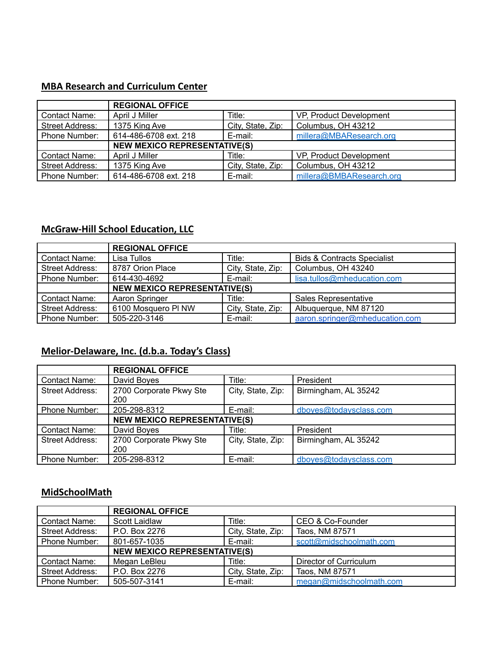#### **MBA Research and Curriculum Center**

|                        | <b>REGIONAL OFFICE</b>              |                   |                          |  |
|------------------------|-------------------------------------|-------------------|--------------------------|--|
| Contact Name:          | April J Miller                      | Title:            | VP, Product Development  |  |
| <b>Street Address:</b> | 1375 King Ave                       | City, State, Zip: | Columbus, OH 43212       |  |
| Phone Number:          | 614-486-6708 ext. 218               | E-mail:           | millera@MBAResearch.org  |  |
|                        | <b>NEW MEXICO REPRESENTATIVE(S)</b> |                   |                          |  |
| Contact Name:          | April J Miller                      | Title:            | VP, Product Development  |  |
| <b>Street Address:</b> | 1375 King Ave                       | City, State, Zip: | Columbus, OH 43212       |  |
| Phone Number:          | 614-486-6708 ext. 218               | E-mail:           | millera@BMBAResearch.org |  |

### **McGraw-Hill School Education, LLC**

|                        | <b>REGIONAL OFFICE</b>              |                   |                                        |
|------------------------|-------------------------------------|-------------------|----------------------------------------|
| Contact Name:          | Lisa Tullos                         | Title:            | <b>Bids &amp; Contracts Specialist</b> |
| <b>Street Address:</b> | 8787 Orion Place                    | City, State, Zip: | Columbus, OH 43240                     |
| Phone Number:          | 614-430-4692                        | E-mail:           | lisa.tullos@mheducation.com            |
|                        | <b>NEW MEXICO REPRESENTATIVE(S)</b> |                   |                                        |
| Contact Name:          | Aaron Springer                      | Title:            | Sales Representative                   |
| <b>Street Address:</b> | 6100 Mosquero PI NW                 | City, State, Zip: | Albuquerque, NM 87120                  |
| Phone Number:          | 505-220-3146                        | E-mail:           | aaron.springer@mheducation.com         |

## **Melior-Delaware, Inc. (d.b.a. Today's Class)**

|                        | <b>REGIONAL OFFICE</b>              |                   |                        |
|------------------------|-------------------------------------|-------------------|------------------------|
| Contact Name:          | David Boyes                         | Title:            | President              |
| <b>Street Address:</b> | 2700 Corporate Pkwy Ste<br>200      | City, State, Zip: | Birmingham, AL 35242   |
| <b>Phone Number:</b>   | 205-298-8312                        | E-mail:           | dboyes@todaysclass.com |
|                        | <b>NEW MEXICO REPRESENTATIVE(S)</b> |                   |                        |
| Contact Name:          | David Boyes                         | Title:            | President              |
| <b>Street Address:</b> | 2700 Corporate Pkwy Ste<br>200      | City, State, Zip: | Birmingham, AL 35242   |
| <b>Phone Number:</b>   | 205-298-8312                        | E-mail:           | dboyes@todaysclass.com |

#### **MidSchoolMath**

|                      | <b>REGIONAL OFFICE</b>              |                   |                         |
|----------------------|-------------------------------------|-------------------|-------------------------|
| Contact Name:        | Scott Laidlaw                       | Title:            | CEO & Co-Founder        |
| Street Address:      | P.O. Box 2276                       | City, State, Zip: | Taos, NM 87571          |
| Phone Number:        | 801-657-1035                        | E-mail:           | scott@midschoolmath.com |
|                      | <b>NEW MEXICO REPRESENTATIVE(S)</b> |                   |                         |
| Contact Name:        | Megan LeBleu                        | Title:            | Director of Curriculum  |
| Street Address:      | P.O. Box 2276                       | City, State, Zip: | Taos, NM 87571          |
| <b>Phone Number:</b> | 505-507-3141                        | E-mail:           | megan@midschoolmath.com |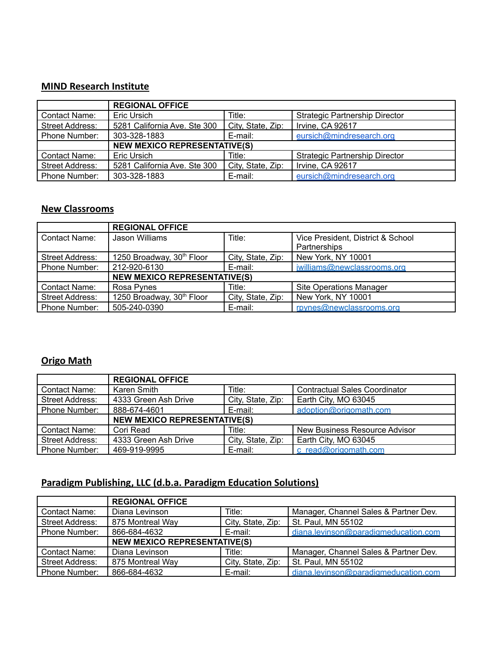#### **MIND Research Institute**

|                        | <b>REGIONAL OFFICE</b>              |                   |                                       |
|------------------------|-------------------------------------|-------------------|---------------------------------------|
| Contact Name:          | Eric Ursich                         | Title:            | <b>Strategic Partnership Director</b> |
| <b>Street Address:</b> | 5281 California Ave. Ste 300        | City, State, Zip: | Irvine, CA 92617                      |
| Phone Number:          | 303-328-1883                        | E-mail:           | eursich@mindresearch.org              |
|                        | <b>NEW MEXICO REPRESENTATIVE(S)</b> |                   |                                       |
| Contact Name:          | Eric Ursich                         | Title:            | <b>Strategic Partnership Director</b> |
| <b>Street Address:</b> | 5281 California Ave. Ste 300        | City, State, Zip: | Irvine, CA 92617                      |
| <b>Phone Number:</b>   | 303-328-1883                        | E-mail:           | eursich@mindresearch.org              |

#### **New Classrooms**

|                        | <b>REGIONAL OFFICE</b>                |                   |                                   |  |
|------------------------|---------------------------------------|-------------------|-----------------------------------|--|
| Contact Name:          | Jason Williams                        | Title:            | Vice President, District & School |  |
|                        |                                       |                   | Partnerships                      |  |
| Street Address:        | 1250 Broadway, 30 <sup>th</sup> Floor | City, State, Zip: | New York, NY 10001                |  |
| Phone Number:          | 212-920-6130                          | E-mail:           | jwilliams@newclassrooms.org       |  |
|                        | <b>NEW MEXICO REPRESENTATIVE(S)</b>   |                   |                                   |  |
| Contact Name:          | Rosa Pynes                            | Title:            | <b>Site Operations Manager</b>    |  |
| <b>Street Address:</b> | 1250 Broadway, 30 <sup>th</sup> Floor | City, State, Zip: | New York, NY 10001                |  |
| <b>Phone Number:</b>   | 505-240-0390                          | E-mail:           | rpynes@newclassrooms.org          |  |

#### **Origo Math**

|                        | <b>REGIONAL OFFICE</b>              |                   |                                      |
|------------------------|-------------------------------------|-------------------|--------------------------------------|
| Contact Name:          | Karen Smith                         | Title:            | <b>Contractual Sales Coordinator</b> |
| <b>Street Address:</b> | 4333 Green Ash Drive                | City, State, Zip: | Earth City, MO 63045                 |
| Phone Number:          | 888-674-4601                        | E-mail:           | adoption@origomath.com               |
|                        | <b>NEW MEXICO REPRESENTATIVE(S)</b> |                   |                                      |
| Contact Name:          | Cori Read                           | Title:            | New Business Resource Advisor        |
| Street Address:        | 4333 Green Ash Drive                | City, State, Zip: | Earth City, MO 63045                 |
| Phone Number:          | 469-919-9995                        | E-mail:           | c read@origomath.com                 |

### **Paradigm Publishing, LLC (d.b.a. Paradigm Education Solutions)**

|                        | <b>REGIONAL OFFICE</b>              |                   |                                       |
|------------------------|-------------------------------------|-------------------|---------------------------------------|
| <b>Contact Name:</b>   | Diana Levinson                      | Title:            | Manager, Channel Sales & Partner Dev. |
| <b>Street Address:</b> | 875 Montreal Way                    | City, State, Zip: | St. Paul, MN 55102                    |
| Phone Number:          | 866-684-4632                        | E-mail:           | diana.levinson@paradigmeducation.com  |
|                        | <b>NEW MEXICO REPRESENTATIVE(S)</b> |                   |                                       |
| <b>Contact Name:</b>   | Diana Levinson                      | Title:            | Manager, Channel Sales & Partner Dev. |
| <b>Street Address:</b> | 875 Montreal Way                    | City, State, Zip: | St. Paul, MN 55102                    |
| Phone Number:          | 866-684-4632                        | E-mail:           | diana.levinson@paradigmeducation.com  |